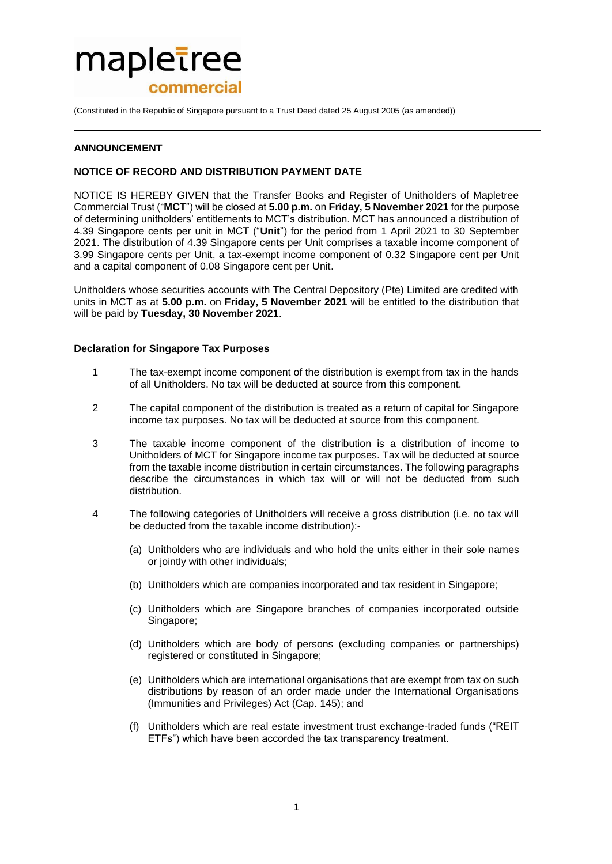# mapletree commercial

(Constituted in the Republic of Singapore pursuant to a Trust Deed dated 25 August 2005 (as amended))

# **ANNOUNCEMENT**

# **NOTICE OF RECORD AND DISTRIBUTION PAYMENT DATE**

NOTICE IS HEREBY GIVEN that the Transfer Books and Register of Unitholders of Mapletree Commercial Trust ("**MCT**") will be closed at **5.00 p.m.** on **Friday, 5 November 2021** for the purpose of determining unitholders' entitlements to MCT's distribution. MCT has announced a distribution of 4.39 Singapore cents per unit in MCT ("**Unit**") for the period from 1 April 2021 to 30 September 2021. The distribution of 4.39 Singapore cents per Unit comprises a taxable income component of 3.99 Singapore cents per Unit, a tax-exempt income component of 0.32 Singapore cent per Unit and a capital component of 0.08 Singapore cent per Unit.

Unitholders whose securities accounts with The Central Depository (Pte) Limited are credited with units in MCT as at **5.00 p.m.** on **Friday, 5 November 2021** will be entitled to the distribution that will be paid by **Tuesday, 30 November 2021**.

#### **Declaration for Singapore Tax Purposes**

- 1 The tax-exempt income component of the distribution is exempt from tax in the hands of all Unitholders. No tax will be deducted at source from this component.
- 2 The capital component of the distribution is treated as a return of capital for Singapore income tax purposes. No tax will be deducted at source from this component.
- 3 The taxable income component of the distribution is a distribution of income to Unitholders of MCT for Singapore income tax purposes. Tax will be deducted at source from the taxable income distribution in certain circumstances. The following paragraphs describe the circumstances in which tax will or will not be deducted from such distribution.
- 4 The following categories of Unitholders will receive a gross distribution (i.e. no tax will be deducted from the taxable income distribution):-
	- (a) Unitholders who are individuals and who hold the units either in their sole names or jointly with other individuals;
	- (b) Unitholders which are companies incorporated and tax resident in Singapore;
	- (c) Unitholders which are Singapore branches of companies incorporated outside Singapore;
	- (d) Unitholders which are body of persons (excluding companies or partnerships) registered or constituted in Singapore;
	- (e) Unitholders which are international organisations that are exempt from tax on such distributions by reason of an order made under the International Organisations (Immunities and Privileges) Act (Cap. 145); and
	- (f) Unitholders which are real estate investment trust exchange-traded funds ("REIT ETFs") which have been accorded the tax transparency treatment.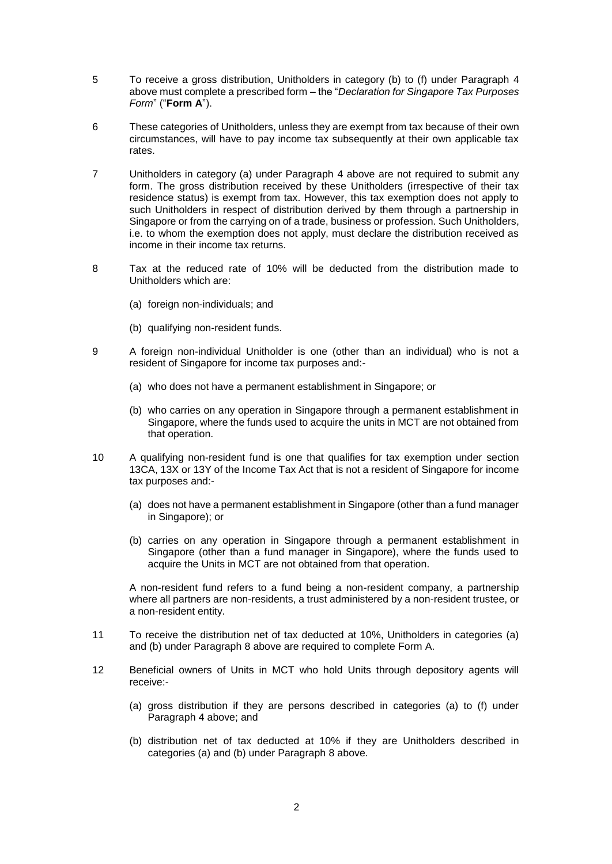- 5 To receive a gross distribution, Unitholders in category (b) to (f) under Paragraph 4 above must complete a prescribed form – the "*Declaration for Singapore Tax Purposes Form*" ("**Form A**").
- 6 These categories of Unitholders, unless they are exempt from tax because of their own circumstances, will have to pay income tax subsequently at their own applicable tax rates.
- 7 Unitholders in category (a) under Paragraph 4 above are not required to submit any form. The gross distribution received by these Unitholders (irrespective of their tax residence status) is exempt from tax. However, this tax exemption does not apply to such Unitholders in respect of distribution derived by them through a partnership in Singapore or from the carrying on of a trade, business or profession. Such Unitholders, i.e. to whom the exemption does not apply, must declare the distribution received as income in their income tax returns.
- 8 Tax at the reduced rate of 10% will be deducted from the distribution made to Unitholders which are:
	- (a) foreign non-individuals; and
	- (b) qualifying non-resident funds.
- 9 A foreign non-individual Unitholder is one (other than an individual) who is not a resident of Singapore for income tax purposes and:-
	- (a) who does not have a permanent establishment in Singapore; or
	- (b) who carries on any operation in Singapore through a permanent establishment in Singapore, where the funds used to acquire the units in MCT are not obtained from that operation.
- 10 A qualifying non-resident fund is one that qualifies for tax exemption under section 13CA, 13X or 13Y of the Income Tax Act that is not a resident of Singapore for income tax purposes and:-
	- (a) does not have a permanent establishment in Singapore (other than a fund manager in Singapore); or
	- (b) carries on any operation in Singapore through a permanent establishment in Singapore (other than a fund manager in Singapore), where the funds used to acquire the Units in MCT are not obtained from that operation.

A non-resident fund refers to a fund being a non-resident company, a partnership where all partners are non-residents, a trust administered by a non-resident trustee, or a non-resident entity.

- 11 To receive the distribution net of tax deducted at 10%, Unitholders in categories (a) and (b) under Paragraph 8 above are required to complete Form A.
- 12 Beneficial owners of Units in MCT who hold Units through depository agents will receive:-
	- (a) gross distribution if they are persons described in categories (a) to (f) under Paragraph 4 above; and
	- (b) distribution net of tax deducted at 10% if they are Unitholders described in categories (a) and (b) under Paragraph 8 above.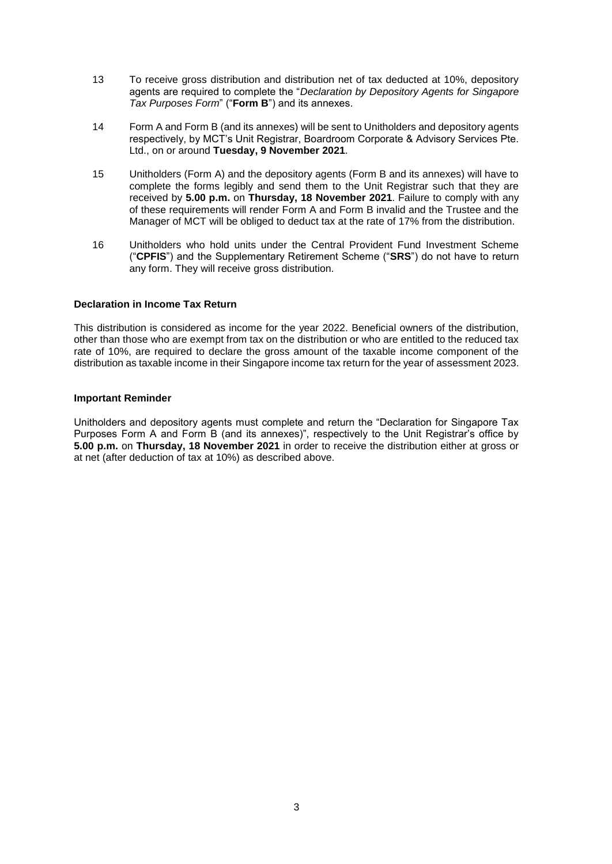- 13 To receive gross distribution and distribution net of tax deducted at 10%, depository agents are required to complete the "*Declaration by Depository Agents for Singapore Tax Purposes Form*" ("**Form B**") and its annexes.
- 14 Form A and Form B (and its annexes) will be sent to Unitholders and depository agents respectively, by MCT's Unit Registrar, Boardroom Corporate & Advisory Services Pte. Ltd., on or around **Tuesday, 9 November 2021**.
- 15 Unitholders (Form A) and the depository agents (Form B and its annexes) will have to complete the forms legibly and send them to the Unit Registrar such that they are received by **5.00 p.m.** on **Thursday, 18 November 2021**. Failure to comply with any of these requirements will render Form A and Form B invalid and the Trustee and the Manager of MCT will be obliged to deduct tax at the rate of 17% from the distribution.
- 16 Unitholders who hold units under the Central Provident Fund Investment Scheme ("**CPFIS**") and the Supplementary Retirement Scheme ("**SRS**") do not have to return any form. They will receive gross distribution.

# **Declaration in Income Tax Return**

This distribution is considered as income for the year 2022. Beneficial owners of the distribution, other than those who are exempt from tax on the distribution or who are entitled to the reduced tax rate of 10%, are required to declare the gross amount of the taxable income component of the distribution as taxable income in their Singapore income tax return for the year of assessment 2023.

### **Important Reminder**

Unitholders and depository agents must complete and return the "Declaration for Singapore Tax Purposes Form A and Form B (and its annexes)", respectively to the Unit Registrar's office by **5.00 p.m.** on **Thursday, 18 November 2021** in order to receive the distribution either at gross or at net (after deduction of tax at 10%) as described above.